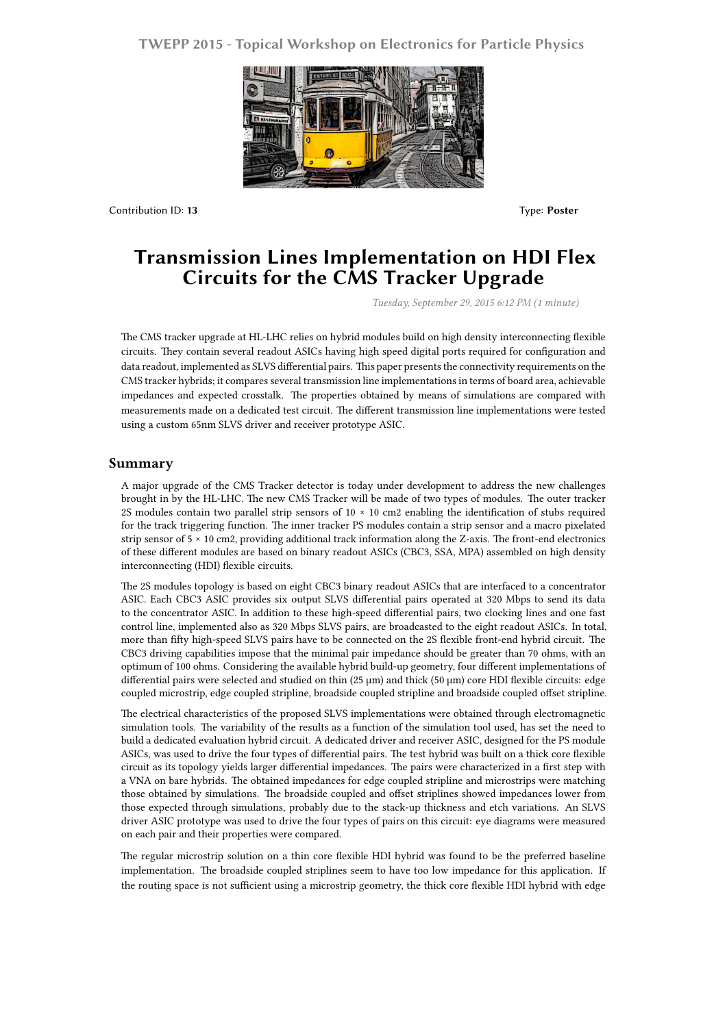## **TWEPP 2015 - Topical Workshop on Electronics for Particle Physics**



Contribution ID: **13** Type: **Poster**

## **Transmission Lines Implementation on HDI Flex Circuits for the CMS Tracker Upgrade**

*Tuesday, September 29, 2015 6:12 PM (1 minute)*

The CMS tracker upgrade at HL-LHC relies on hybrid modules build on high density interconnecting flexible circuits. They contain several readout ASICs having high speed digital ports required for configuration and data readout, implemented as SLVS differential pairs. This paper presents the connectivity requirements on the CMS tracker hybrids; it compares several transmission line implementations in terms of board area, achievable impedances and expected crosstalk. The properties obtained by means of simulations are compared with measurements made on a dedicated test circuit. The different transmission line implementations were tested using a custom 65nm SLVS driver and receiver prototype ASIC.

## **Summary**

A major upgrade of the CMS Tracker detector is today under development to address the new challenges brought in by the HL-LHC. The new CMS Tracker will be made of two types of modules. The outer tracker 2S modules contain two parallel strip sensors of 10 × 10 cm2 enabling the identification of stubs required for the track triggering function. The inner tracker PS modules contain a strip sensor and a macro pixelated strip sensor of 5 × 10 cm2, providing additional track information along the Z-axis. The front-end electronics of these different modules are based on binary readout ASICs (CBC3, SSA, MPA) assembled on high density interconnecting (HDI) flexible circuits.

The 2S modules topology is based on eight CBC3 binary readout ASICs that are interfaced to a concentrator ASIC. Each CBC3 ASIC provides six output SLVS differential pairs operated at 320 Mbps to send its data to the concentrator ASIC. In addition to these high-speed differential pairs, two clocking lines and one fast control line, implemented also as 320 Mbps SLVS pairs, are broadcasted to the eight readout ASICs. In total, more than fifty high-speed SLVS pairs have to be connected on the 2S flexible front-end hybrid circuit. The CBC3 driving capabilities impose that the minimal pair impedance should be greater than 70 ohms, with an optimum of 100 ohms. Considering the available hybrid build-up geometry, four different implementations of differential pairs were selected and studied on thin (25 µm) and thick (50 µm) core HDI flexible circuits: edge coupled microstrip, edge coupled stripline, broadside coupled stripline and broadside coupled offset stripline.

The electrical characteristics of the proposed SLVS implementations were obtained through electromagnetic simulation tools. The variability of the results as a function of the simulation tool used, has set the need to build a dedicated evaluation hybrid circuit. A dedicated driver and receiver ASIC, designed for the PS module ASICs, was used to drive the four types of differential pairs. The test hybrid was built on a thick core flexible circuit as its topology yields larger differential impedances. The pairs were characterized in a first step with a VNA on bare hybrids. The obtained impedances for edge coupled stripline and microstrips were matching those obtained by simulations. The broadside coupled and offset striplines showed impedances lower from those expected through simulations, probably due to the stack-up thickness and etch variations. An SLVS driver ASIC prototype was used to drive the four types of pairs on this circuit: eye diagrams were measured on each pair and their properties were compared.

The regular microstrip solution on a thin core flexible HDI hybrid was found to be the preferred baseline implementation. The broadside coupled striplines seem to have too low impedance for this application. If the routing space is not sufficient using a microstrip geometry, the thick core flexible HDI hybrid with edge